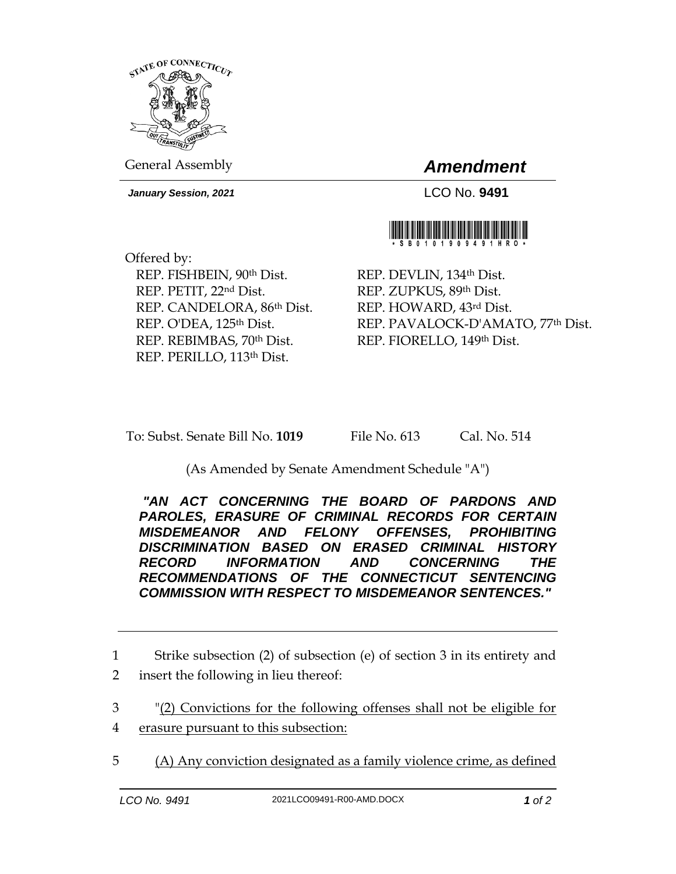

General Assembly *Amendment*

*January Session, 2021* LCO No. **9491**



Offered by: REP. FISHBEIN, 90th Dist. REP. PETIT, 22nd Dist. REP. CANDELORA, 86th Dist. REP. O'DEA, 125<sup>th</sup> Dist. REP. REBIMBAS, 70th Dist. REP. PERILLO, 113th Dist.

REP. DEVLIN, 134th Dist. REP. ZUPKUS, 89th Dist. REP. HOWARD, 43rd Dist. REP. PAVALOCK-D'AMATO, 77th Dist. REP. FIORELLO, 149th Dist.

To: Subst. Senate Bill No. **1019** File No. 613 Cal. No. 514

(As Amended by Senate Amendment Schedule "A")

*"AN ACT CONCERNING THE BOARD OF PARDONS AND PAROLES, ERASURE OF CRIMINAL RECORDS FOR CERTAIN MISDEMEANOR AND FELONY OFFENSES, PROHIBITING DISCRIMINATION BASED ON ERASED CRIMINAL HISTORY RECORD INFORMATION AND CONCERNING THE RECOMMENDATIONS OF THE CONNECTICUT SENTENCING COMMISSION WITH RESPECT TO MISDEMEANOR SENTENCES."* 

1 Strike subsection (2) of subsection (e) of section 3 in its entirety and 2 insert the following in lieu thereof:

3 "(2) Convictions for the following offenses shall not be eligible for

- 4 erasure pursuant to this subsection:
- 5 (A) Any conviction designated as a family violence crime, as defined